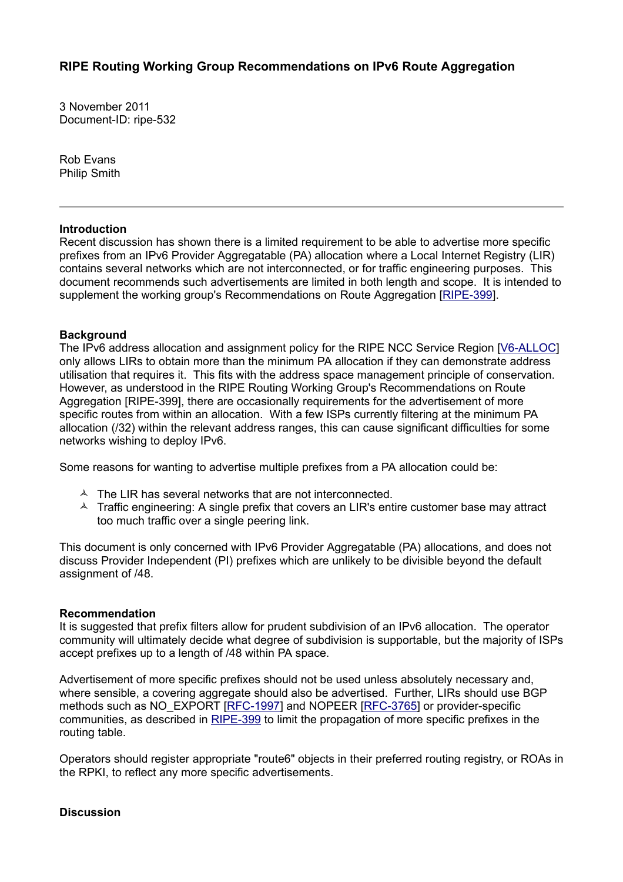3 November 2011 Document-ID: ripe-532

Rob Evans Philip Smith

## **Introduction**

Recent discussion has shown there is a limited requirement to be able to advertise more specific prefixes from an IPv6 Provider Aggregatable (PA) allocation where a Local Internet Registry (LIR) contains several networks which are not interconnected, or for traffic engineering purposes. This document recommends such advertisements are limited in both length and scope. It is intended to supplement the working group's Recommendations on Route Aggregation [\[RIPE-399\]](http://www.ripe.net/ripe/docs/routing-recommendations).

## **Background**

The IPv6 address allocation and assignment policy for the RIPE NCC Service Region [\[V6-ALLOC\]](http://www.ripe.net/ripe/docs/ipv6-policies%20) only allows LIRs to obtain more than the minimum PA allocation if they can demonstrate address utilisation that requires it. This fits with the address space management principle of conservation. However, as understood in the RIPE Routing Working Group's Recommendations on Route Aggregation [RIPE-399], there are occasionally requirements for the advertisement of more specific routes from within an allocation. With a few ISPs currently filtering at the minimum PA allocation (/32) within the relevant address ranges, this can cause significant difficulties for some networks wishing to deploy IPv6.

Some reasons for wanting to advertise multiple prefixes from a PA allocation could be:

- $\triangle$  The LIR has several networks that are not interconnected.
- $\triangle$  Traffic engineering: A single prefix that covers an LIR's entire customer base may attract too much traffic over a single peering link.

This document is only concerned with IPv6 Provider Aggregatable (PA) allocations, and does not discuss Provider Independent (PI) prefixes which are unlikely to be divisible beyond the default assignment of /48.

## **Recommendation**

It is suggested that prefix filters allow for prudent subdivision of an IPv6 allocation. The operator community will ultimately decide what degree of subdivision is supportable, but the majority of ISPs accept prefixes up to a length of /48 within PA space.

Advertisement of more specific prefixes should not be used unless absolutely necessary and, where sensible, a covering aggregate should also be advertised. Further, LIRs should use BGP methods such as NO\_EXPORT [\[RFC-1997\]](http://www.rfc-editor.org/rfc/rfc1997.txt) and NOPEER [\[RFC-3765\]](http://www.rfc-editor.org/rfc/rfc3765.txt) or provider-specific communities, as described in [RIPE-399](http://www.ripe.net/ripe/docs/routing-recommendations) to limit the propagation of more specific prefixes in the routing table.

Operators should register appropriate "route6" objects in their preferred routing registry, or ROAs in the RPKI, to reflect any more specific advertisements.

## **Discussion**